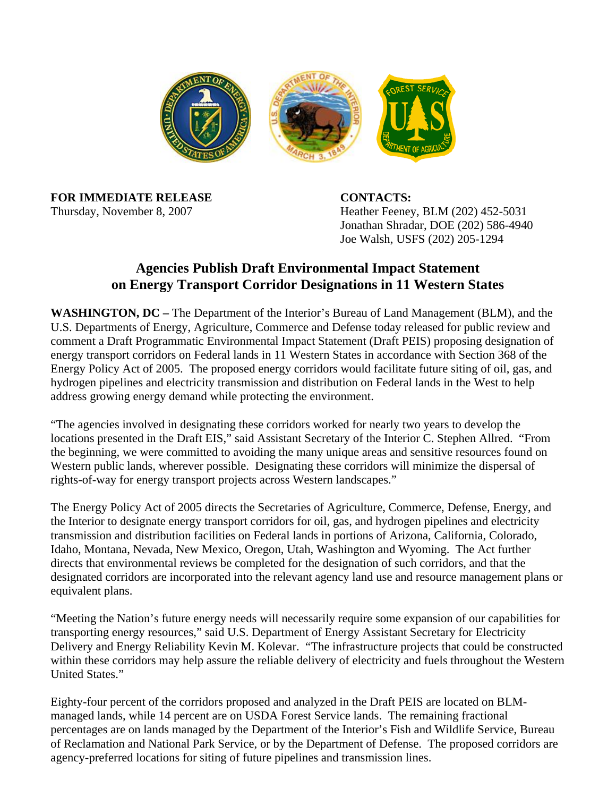

**FOR IMMEDIATE RELEASE CONTACTS:**

Thursday, November 8, 2007 Heather Feeney, BLM (202) 452-5031 Jonathan Shradar, DOE (202) 586-4940 Joe Walsh, USFS (202) 205-1294

## **Agencies Publish Draft Environmental Impact Statement on Energy Transport Corridor Designations in 11 Western States**

**WASHINGTON, DC –** The Department of the Interior's Bureau of Land Management (BLM), and the U.S. Departments of Energy, Agriculture, Commerce and Defense today released for public review and comment a Draft Programmatic Environmental Impact Statement (Draft PEIS) proposing designation of energy transport corridors on Federal lands in 11 Western States in accordance with Section 368 of the Energy Policy Act of 2005. The proposed energy corridors would facilitate future siting of oil, gas, and hydrogen pipelines and electricity transmission and distribution on Federal lands in the West to help address growing energy demand while protecting the environment.

"The agencies involved in designating these corridors worked for nearly two years to develop the locations presented in the Draft EIS," said Assistant Secretary of the Interior C. Stephen Allred. "From the beginning, we were committed to avoiding the many unique areas and sensitive resources found on Western public lands, wherever possible. Designating these corridors will minimize the dispersal of rights-of-way for energy transport projects across Western landscapes."

The Energy Policy Act of 2005 directs the Secretaries of Agriculture, Commerce, Defense, Energy, and the Interior to designate energy transport corridors for oil, gas, and hydrogen pipelines and electricity transmission and distribution facilities on Federal lands in portions of Arizona, California, Colorado, Idaho, Montana, Nevada, New Mexico, Oregon, Utah, Washington and Wyoming. The Act further directs that environmental reviews be completed for the designation of such corridors, and that the designated corridors are incorporated into the relevant agency land use and resource management plans or equivalent plans.

"Meeting the Nation's future energy needs will necessarily require some expansion of our capabilities for transporting energy resources," said U.S. Department of Energy Assistant Secretary for Electricity Delivery and Energy Reliability Kevin M. Kolevar. "The infrastructure projects that could be constructed within these corridors may help assure the reliable delivery of electricity and fuels throughout the Western United States."

Eighty-four percent of the corridors proposed and analyzed in the Draft PEIS are located on BLMmanaged lands, while 14 percent are on USDA Forest Service lands. The remaining fractional percentages are on lands managed by the Department of the Interior's Fish and Wildlife Service, Bureau of Reclamation and National Park Service, or by the Department of Defense. The proposed corridors are agency-preferred locations for siting of future pipelines and transmission lines.